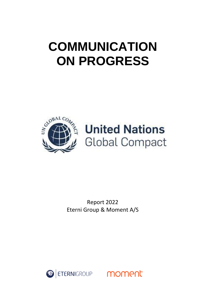# **COMMUNICATION ON PROGRESS**



Report 2022 Eterni Group & Moment A/S

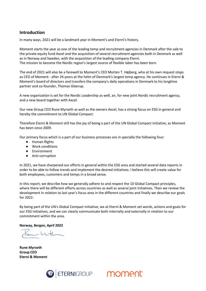# **Introduction**

In many ways, 2021 will be a landmark year in Moment's and Eterni's history.

Moment starts the year as one of the leading temp and recruitment agencies in Denmark after the sale to the private equity fund Axcel and the acquisition of several recruitment agencies both in Denmark as well as in Norway and Sweden, with the acquisition of the leading company Eterni. The mission to become the Nordic region's largest source of flexible labor has been born.

The end of 2021 will also be a farewell to Moment's CEO Morten T. Højberg, who at his own request stops as CEO of Moment - after 24 years at the helm of Denmark's largest temp agency. He continues in Eterni & Moment's board of directors and transfers the company's daily operations in Denmark to his longtime partner and co-founder, Thomas Gleerup.

A new organization is set for the Nordic Leadership as well, an, for new joint Nordic recruitment agency, and a new board together with Axcel.

Our new Group CEO Rune Myrseth as well as the owners Axcel, has a strong focus on ESG in general and hereby the commitment to UN Global Compact.

Therefore Eterni & Moment still has the joy of being a part of the UN Global Compact initiative, as Moment has been since 2009.

Our primary focus which is a part of our business processes are in specially the following four:

- Human Rights
- Work conditions
- Environment
- Anti-corruption

In 2021, we have sharpened our efforts in general within the ESG area and started several data reports in order to be able to follow trends and implement the desired initiatives. I believe this will create value for both employees, customers and temps in a broad sense.

In this report, we describe how we generally adhere to and respect the 10 Global Compact principles, where there will be different efforts across countries as well as several joint initiatives. Then we review the development in relation to last year's focus area in the different countries and finally we describe our goals for 2022.

By being part of the UN's Global Compact initiative, we at Eterni & Moment set words, actions and goals for our ESG initiatives, and we can clearly communicate both internally and externally in relation to our commitment within the area.

**Norway, Bergen, April 2022**

**Rune Myrseth Group CEO Eterni & Moment**



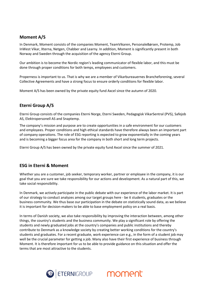# **Moment A/S**

In Denmark, Moment consists of the companies Moment, TeamVikaren, PersonaleBørsen, Protemp, Job InWest Vikar, Xterna, Netgen, Chabber and Learny. In addition, Moment is significantly present in both Norway and Sweden through the acquisition of the agency Eterni Group.

Our ambition is to become the Nordic region's leading communicator of flexible labor, and this must be done through proper conditions for both temps, employees and customers.

Properness is important to us. That is why we are a member of Vikarbureauernes Brancheforening, several Collective Agreements and have a strong focus to ensure orderly conditions for flexible labor.

Moment A/S has been owned by the private equity fund Axcel since the autumn of 2020.

# **Eterni Group A/S**

Eterni Group consists of the companies Eterni Norge, Eterni Sweden, Pedagogisk VikarSentral (PVS), Safejob AS, Elektropersonell AS and Snaptemp.

The company's mission and purpose are to create opportunities in a safe environment for our customers and employees. Proper conditions and high ethical standards have therefore always been an important part of company operations. The role of ESG reporting is expected to grow exponentially in the coming years and is becoming a bigger focus area for the company in both short and long term projects.

Eterni Group A/S has been owned by the private equity fund Axcel since the summer of 2021.

# **ESG in Eterni & Moment**

Whether you are a customer, job seeker, temporary worker, partner or employee in the company, it is our goal that you are sure we take responsibility for our actions and development. As a natural part of this, we take social responsibility.

In Denmark, we actively participate in the public debate with our experience of the labor market. It is part of our strategy to conduct analyzes among our target groups here - be it students, graduates or the business community. We thus base our participation in the debate on statistically sound data, as we believe it is important for decision-makers to be able to base employment policy on a real basis.

In terms of Danish society, we also take responsibility by improving the interaction between, among other things, the country's students and the business community. We play a significant role by offering the students and newly graduated jobs at the country's companies and public institutions and thereby contribute to Denmark as a knowledge society by creating better working conditions for the country's students and graduates. For a recent graduate, work experience can e.g., in the form of a student job may well be the crucial parameter for getting a job. Many also have their first experience of business through Moment. It is therefore important for us to be able to provide guidance on this situation and offer the terms that are most attractive to the students.



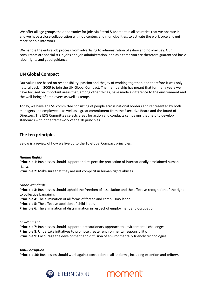We offer all age groups the opportunity for jobs via Eterni & Moment in all countries that we operate in, and we have a close collaboration with job centers and municipalities, to activate the workforce and get more people into work.

We handle the entire job process from advertising to administration of salary and holiday pay. Our consultants are specialists in jobs and job administration, and as a temp you are therefore guaranteed basic labor rights and good guidance.

# **UN Global Compact**

Our values are based on responsibility, passion and the joy of working together, and therefore it was only natural back in 2009 to join the UN Global Compact. The membership has meant that for many years we have focused on important areas that, among other things, have made a difference to the environment and the well-being of employees as well as temps.

Today, we have an ESG committee consisting of people across national borders and represented by both managers and employees - as well as a great commitment from the Executive Board and the Board of Directors. The ESG Committee selects areas for action and conducts campaigns that help to develop standards within the framework of the 10 principles.

# **The ten principles**

Below is a review of how we live up to the 10 Global Compact principles.

## *Human Rights*

**Principle 1**: Businesses should support and respect the protection of internationally proclaimed human rights.

**Principle 2**: Make sure that they are not complicit in human rights abuses.

#### *Labor Standards*

**Principle 3**: Businesses should uphold the freedom of association and the effective recognition of the right to collective bargaining.

**Principle 4**: The elimination of all forms of forced and compulsory labor.

**Principle 5**: The effective abolition of child labor.

**Principle 6**: The elimination of discrimination in respect of employment and occupation.

#### *Environment*

**Principle 7**: Businesses should support a precautionary approach to environmental challenges. **Principle 8**: Undertake initiatives to promote greater environmental responsibility. **Principle 9**: Encourage the development and diffusion of environmentally friendly technologies.

# *Anti-Corruption*

**Principle 10**: Businesses should work against corruption in all its forms, including extortion and bribery.



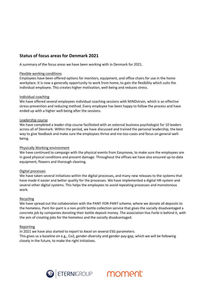# **Status of focus areas for Denmark 2021**

A summary of the focus areas we have been working with in Denmark for 2021.

## Flexible working conditions

Employees have been offered options for monitors, equipment, and office chairs for use in the home workplace. It is now a generally opportunity to work from home, to gain the flexibility which suits the individual employee. This creates higher motivation, well-being and reduces stress.

## Individual coaching

We have offered several employees individual coaching sessions with MINDstrain, which is an effective stress-prevention and reducing method. Every employee has been happy to follow the process and have ended up with a higher well-being after the sessions.

## Leadership course

We have completed a leader-ship course facilitated with an external business psychologist for 10 leaders across all of Denmark. Within the period, we have discussed and trained the personal leadership, the best way to give feedback and make sure the employees thrive and me-too-cases and focus on general wellbeing.

#### Physically Working environment

We have continued to campaign with the physical events from Easymove, to make sure the employees are in good physical conditions and prevent damage. Throughout the offices we have also ensured up-to-date equipment, flowers and thorough cleaning.

#### Digital processes

We have taken several initiatives within the digital processes, and many new releases to the systems that have made it easier and better quality for the processes. We have implemented a digital HR-system and several other digital systems. This helps the employees to avoid repeating processes and monotonous work.

#### Recycling

We have spread out the collaboration with the PANT-FOR-PANT scheme, where we donate all deposits to the homeless. Pant-for-pant is a non-profit bottle collection service that gives the socially disadvantaged a concrete job by companies donating their bottle deposit money. The association Hus Forbi is behind it, with the aim of creating jobs for the homeless and the socially disadvantaged.

#### Reporting

In 2021 we have also started to report to Axcel on several ESG parameters. This gives us a baseline on e.g., Co2, gender-diversity and gender-pay-gap, which we will be following closely in the future, to make the right initiatives.